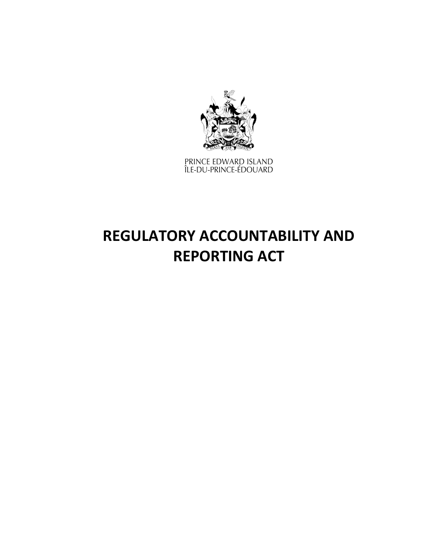

PRINCE EDWARD ISLAND<br>ÎLE-DU-PRINCE-ÉDOUARD

# **REGULATORY ACCOUNTABILITY AND REPORTING ACT**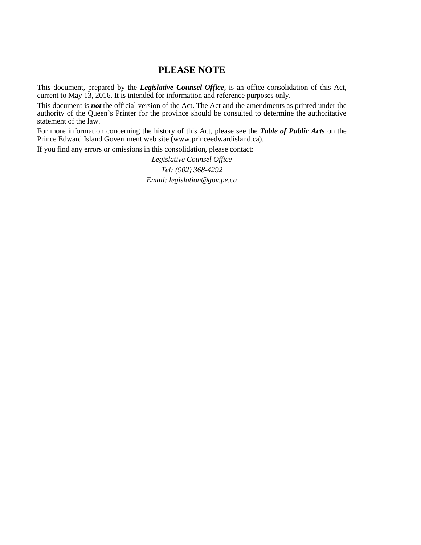# **PLEASE NOTE**

This document, prepared by the *[Legislative](http://www.gov.pe.ca/jps/index.php3?number=1027247) Counsel Office*, is an office consolidation of this Act, current to May 13, 2016. It is intended for information and reference purposes only.

This document is *not* the official version of the Act. The Act and the amendments as printed under the authority of the Queen's Printer for the province should be consulted to determine the authoritative statement of the law.

For more information concerning the history of this Act, please see the *[Table of Public Acts](https://www.princeedwardisland.ca/sites/default/files/publications/leg_table_acts.pdf)* on the Prince Edward Island Government web site (www.princeedwardisland.ca).

If you find any errors or omissions in this consolidation, please contact:

*Legislative Counsel Office Tel: (902) 368-4292 Email: legislation@gov.pe.ca*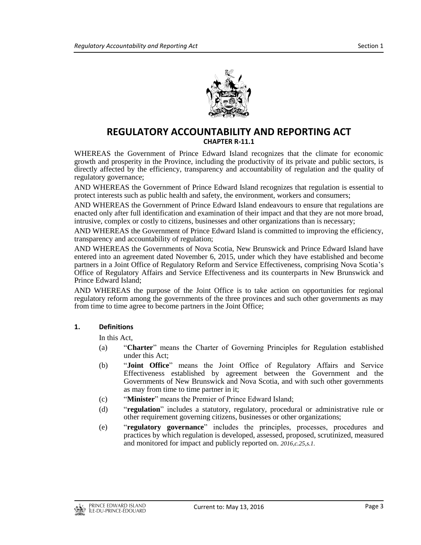

# **REGULATORY ACCOUNTABILITY AND REPORTING ACT CHAPTER R-11.1**

WHEREAS the Government of Prince Edward Island recognizes that the climate for economic growth and prosperity in the Province, including the productivity of its private and public sectors, is directly affected by the efficiency, transparency and accountability of regulation and the quality of regulatory governance;

AND WHEREAS the Government of Prince Edward Island recognizes that regulation is essential to protect interests such as public health and safety, the environment, workers and consumers;

AND WHEREAS the Government of Prince Edward Island endeavours to ensure that regulations are enacted only after full identification and examination of their impact and that they are not more broad, intrusive, complex or costly to citizens, businesses and other organizations than is necessary;

AND WHEREAS the Government of Prince Edward Island is committed to improving the efficiency, transparency and accountability of regulation;

AND WHEREAS the Governments of Nova Scotia, New Brunswick and Prince Edward Island have entered into an agreement dated November 6, 2015, under which they have established and become partners in a Joint Office of Regulatory Reform and Service Effectiveness, comprising Nova Scotia's Office of Regulatory Affairs and Service Effectiveness and its counterparts in New Brunswick and Prince Edward Island;

AND WHEREAS the purpose of the Joint Office is to take action on opportunities for regional regulatory reform among the governments of the three provinces and such other governments as may from time to time agree to become partners in the Joint Office;

#### **1. Definitions**

In this Act,

- (a) "**Charter**" means the Charter of Governing Principles for Regulation established under this Act;
- (b) "**Joint Office**" means the Joint Office of Regulatory Affairs and Service Effectiveness established by agreement between the Government and the Governments of New Brunswick and Nova Scotia, and with such other governments as may from time to time partner in it;
- (c) "**Minister**" means the Premier of Prince Edward Island;
- (d) "**regulation**" includes a statutory, regulatory, procedural or administrative rule or other requirement governing citizens, businesses or other organizations;
- (e) "**regulatory governance**" includes the principles, processes, procedures and practices by which regulation is developed, assessed, proposed, scrutinized, measured and monitored for impact and publicly reported on. *2016,c.25,s.1.*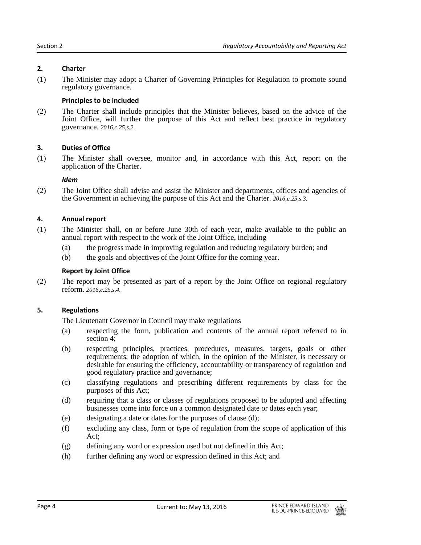#### **2. Charter**

(1) The Minister may adopt a Charter of Governing Principles for Regulation to promote sound regulatory governance.

## **Principles to be included**

(2) The Charter shall include principles that the Minister believes, based on the advice of the Joint Office, will further the purpose of this Act and reflect best practice in regulatory governance. *2016,c.25,s.2.*

## **3. Duties of Office**

(1) The Minister shall oversee, monitor and, in accordance with this Act, report on the application of the Charter.

#### *Idem*

(2) The Joint Office shall advise and assist the Minister and departments, offices and agencies of the Government in achieving the purpose of this Act and the Charter. *2016,c.25,s.3.*

## **4. Annual report**

- (1) The Minister shall, on or before June 30th of each year, make available to the public an annual report with respect to the work of the Joint Office, including
	- (a) the progress made in improving regulation and reducing regulatory burden; and
	- (b) the goals and objectives of the Joint Office for the coming year.

#### **Report by Joint Office**

(2) The report may be presented as part of a report by the Joint Office on regional regulatory reform. *2016,c.25,s.4.*

## **5. Regulations**

The Lieutenant Governor in Council may make regulations

- (a) respecting the form, publication and contents of the annual report referred to in section 4;
- (b) respecting principles, practices, procedures, measures, targets, goals or other requirements, the adoption of which, in the opinion of the Minister, is necessary or desirable for ensuring the efficiency, accountability or transparency of regulation and good regulatory practice and governance;
- (c) classifying regulations and prescribing different requirements by class for the purposes of this Act;
- (d) requiring that a class or classes of regulations proposed to be adopted and affecting businesses come into force on a common designated date or dates each year;
- (e) designating a date or dates for the purposes of clause (d);
- (f) excluding any class, form or type of regulation from the scope of application of this Act;
- (g) defining any word or expression used but not defined in this Act;
- (h) further defining any word or expression defined in this Act; and